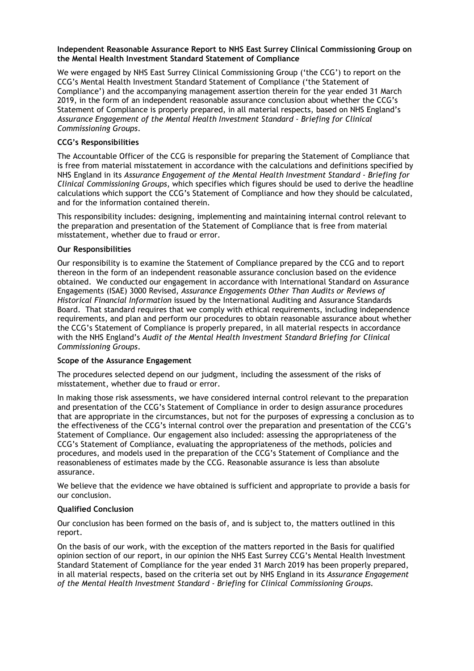### Independent Reasonable Assurance Report to NHS East Surrey Clinical Commissioning Group on the Mental Health Investment Standard Statement of Compliance

We were engaged by NHS East Surrey Clinical Commissioning Group ('the CCG') to report on the CCG's Mental Health Investment Standard Statement of Compliance ('the Statement of Compliance') and the accompanying management assertion therein for the year ended 31 March 2019, in the form of an independent reasonable assurance conclusion about whether the CCG's Statement of Compliance is properly prepared, in all material respects, based on NHS England's Assurance Engagement of the Mental Health Investment Standard - Briefing for Clinical Commissioning Groups.

# CCG's Responsibilities

The Accountable Officer of the CCG is responsible for preparing the Statement of Compliance that is free from material misstatement in accordance with the calculations and definitions specified by NHS England in its Assurance Engagement of the Mental Health Investment Standard - Briefing for Clinical Commissioning Groups, which specifies which figures should be used to derive the headline calculations which support the CCG's Statement of Compliance and how they should be calculated, and for the information contained therein.

This responsibility includes: designing, implementing and maintaining internal control relevant to the preparation and presentation of the Statement of Compliance that is free from material misstatement, whether due to fraud or error.

# Our Responsibilities

Our responsibility is to examine the Statement of Compliance prepared by the CCG and to report thereon in the form of an independent reasonable assurance conclusion based on the evidence obtained. We conducted our engagement in accordance with International Standard on Assurance Engagements (ISAE) 3000 Revised, Assurance Engagements Other Than Audits or Reviews of Historical Financial Information issued by the International Auditing and Assurance Standards Board. That standard requires that we comply with ethical requirements, including independence requirements, and plan and perform our procedures to obtain reasonable assurance about whether the CCG's Statement of Compliance is properly prepared, in all material respects in accordance with the NHS England's Audit of the Mental Health Investment Standard Briefing for Clinical Commissioning Groups.

### Scope of the Assurance Engagement

The procedures selected depend on our judgment, including the assessment of the risks of misstatement, whether due to fraud or error.

In making those risk assessments, we have considered internal control relevant to the preparation and presentation of the CCG's Statement of Compliance in order to design assurance procedures that are appropriate in the circumstances, but not for the purposes of expressing a conclusion as to the effectiveness of the CCG's internal control over the preparation and presentation of the CCG's Statement of Compliance. Our engagement also included: assessing the appropriateness of the CCG's Statement of Compliance, evaluating the appropriateness of the methods, policies and procedures, and models used in the preparation of the CCG's Statement of Compliance and the reasonableness of estimates made by the CCG. Reasonable assurance is less than absolute assurance.

We believe that the evidence we have obtained is sufficient and appropriate to provide a basis for our conclusion.

# Qualified Conclusion

Our conclusion has been formed on the basis of, and is subject to, the matters outlined in this report.

On the basis of our work, with the exception of the matters reported in the Basis for qualified opinion section of our report, in our opinion the NHS East Surrey CCG's Mental Health Investment Standard Statement of Compliance for the year ended 31 March 2019 has been properly prepared, in all material respects, based on the criteria set out by NHS England in its Assurance Engagement of the Mental Health Investment Standard - Briefing for Clinical Commissioning Groups.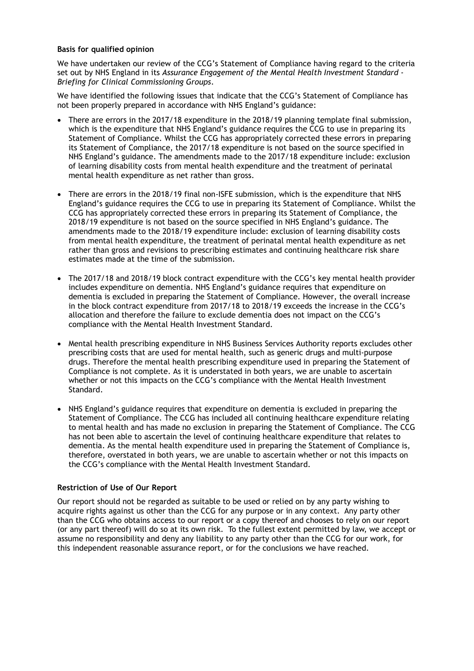### Basis for qualified opinion

We have undertaken our review of the CCG's Statement of Compliance having regard to the criteria set out by NHS England in its Assurance Engagement of the Mental Health Investment Standard -Briefing for Clinical Commissioning Groups.

We have identified the following issues that indicate that the CCG's Statement of Compliance has not been properly prepared in accordance with NHS England's guidance:

- There are errors in the 2017/18 expenditure in the 2018/19 planning template final submission, which is the expenditure that NHS England's guidance requires the CCG to use in preparing its Statement of Compliance. Whilst the CCG has appropriately corrected these errors in preparing its Statement of Compliance, the 2017/18 expenditure is not based on the source specified in NHS England's guidance. The amendments made to the 2017/18 expenditure include: exclusion of learning disability costs from mental health expenditure and the treatment of perinatal mental health expenditure as net rather than gross.
- There are errors in the 2018/19 final non-ISFE submission, which is the expenditure that NHS England's guidance requires the CCG to use in preparing its Statement of Compliance. Whilst the CCG has appropriately corrected these errors in preparing its Statement of Compliance, the 2018/19 expenditure is not based on the source specified in NHS England's guidance. The amendments made to the 2018/19 expenditure include: exclusion of learning disability costs from mental health expenditure, the treatment of perinatal mental health expenditure as net rather than gross and revisions to prescribing estimates and continuing healthcare risk share estimates made at the time of the submission.
- The 2017/18 and 2018/19 block contract expenditure with the CCG's key mental health provider includes expenditure on dementia. NHS England's guidance requires that expenditure on dementia is excluded in preparing the Statement of Compliance. However, the overall increase in the block contract expenditure from 2017/18 to 2018/19 exceeds the increase in the CCG's allocation and therefore the failure to exclude dementia does not impact on the CCG's compliance with the Mental Health Investment Standard.
- Mental health prescribing expenditure in NHS Business Services Authority reports excludes other prescribing costs that are used for mental health, such as generic drugs and multi-purpose drugs. Therefore the mental health prescribing expenditure used in preparing the Statement of Compliance is not complete. As it is understated in both years, we are unable to ascertain whether or not this impacts on the CCG's compliance with the Mental Health Investment Standard.
- NHS England's guidance requires that expenditure on dementia is excluded in preparing the Statement of Compliance. The CCG has included all continuing healthcare expenditure relating to mental health and has made no exclusion in preparing the Statement of Compliance. The CCG has not been able to ascertain the level of continuing healthcare expenditure that relates to dementia. As the mental health expenditure used in preparing the Statement of Compliance is, therefore, overstated in both years, we are unable to ascertain whether or not this impacts on the CCG's compliance with the Mental Health Investment Standard.

### Restriction of Use of Our Report

Our report should not be regarded as suitable to be used or relied on by any party wishing to acquire rights against us other than the CCG for any purpose or in any context. Any party other than the CCG who obtains access to our report or a copy thereof and chooses to rely on our report (or any part thereof) will do so at its own risk. To the fullest extent permitted by law, we accept or assume no responsibility and deny any liability to any party other than the CCG for our work, for this independent reasonable assurance report, or for the conclusions we have reached.